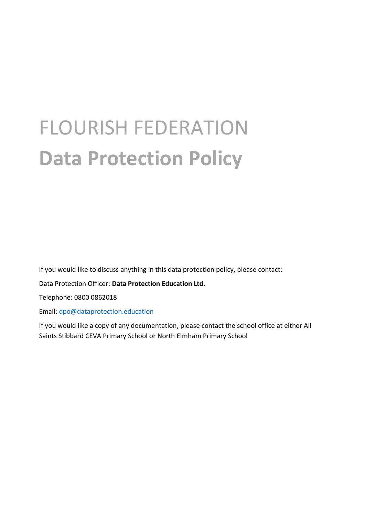# FLOURISH FEDERATION **Data Protection Policy**

If you would like to discuss anything in this data protection policy, please contact:

Data Protection Officer: **Data Protection Education Ltd.**

Telephone: 0800 0862018

Email: [dpo@dataprotection.education](mailto:dpo@dataprotection.education)

If you would like a copy of any documentation, please contact the school office at either All Saints Stibbard CEVA Primary School or North Elmham Primary School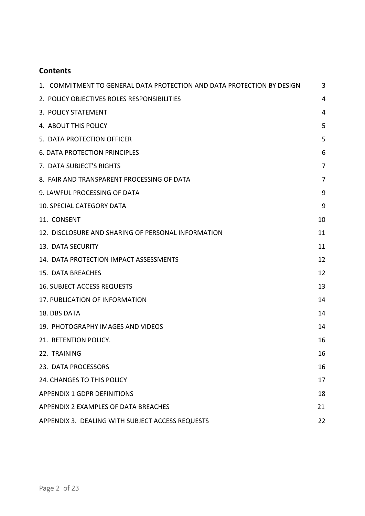#### **Contents**

| 1. COMMITMENT TO GENERAL DATA PROTECTION AND DATA PROTECTION BY DESIGN | 3              |
|------------------------------------------------------------------------|----------------|
| 2. POLICY OBJECTIVES ROLES RESPONSIBILITIES                            | 4              |
| 3. POLICY STATEMENT                                                    | 4              |
| 4. ABOUT THIS POLICY                                                   | 5              |
| 5. DATA PROTECTION OFFICER                                             | 5              |
| <b>6. DATA PROTECTION PRINCIPLES</b>                                   | 6              |
| 7. DATA SUBJECT'S RIGHTS                                               | $\overline{7}$ |
| 8. FAIR AND TRANSPARENT PROCESSING OF DATA                             | 7              |
| 9. LAWFUL PROCESSING OF DATA                                           | 9              |
| <b>10. SPECIAL CATEGORY DATA</b>                                       | 9              |
| 11. CONSENT                                                            | 10             |
| 12. DISCLOSURE AND SHARING OF PERSONAL INFORMATION                     | 11             |
| 13. DATA SECURITY                                                      | 11             |
| 14. DATA PROTECTION IMPACT ASSESSMENTS                                 | 12             |
| 15. DATA BREACHES                                                      | 12             |
| <b>16. SUBJECT ACCESS REQUESTS</b>                                     | 13             |
| 17. PUBLICATION OF INFORMATION                                         | 14             |
| 18. DBS DATA                                                           | 14             |
| 19. PHOTOGRAPHY IMAGES AND VIDEOS                                      | 14             |
| 21. RETENTION POLICY.                                                  | 16             |
| 22. TRAINING                                                           | 16             |
| 23. DATA PROCESSORS                                                    | 16             |
| 24. CHANGES TO THIS POLICY                                             | 17             |
| <b>APPENDIX 1 GDPR DEFINITIONS</b>                                     | 18             |
| APPENDIX 2 EXAMPLES OF DATA BREACHES                                   | 21             |
| APPENDIX 3. DEALING WITH SUBJECT ACCESS REQUESTS                       | 22             |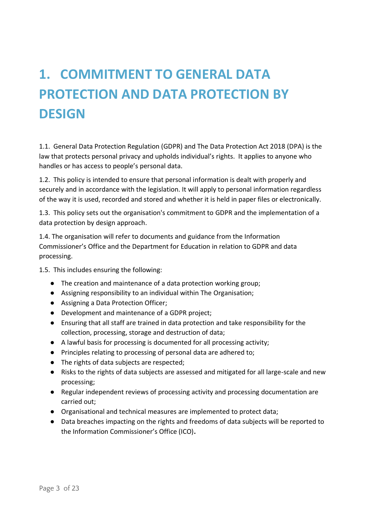# <span id="page-2-0"></span>**1. COMMITMENT TO GENERAL DATA PROTECTION AND DATA PROTECTION BY DESIGN**

1.1. General Data Protection Regulation (GDPR) and The Data Protection Act 2018 (DPA) is the law that protects personal privacy and upholds individual's rights. It applies to anyone who handles or has access to people's personal data.

1.2. This policy is intended to ensure that personal information is dealt with properly and securely and in accordance with the legislation. It will apply to personal information regardless of the way it is used, recorded and stored and whether it is held in paper files or electronically.

1.3. This policy sets out the organisation's commitment to GDPR and the implementation of a data protection by design approach.

1.4. The organisation will refer to documents and guidance from the Information Commissioner's Office and the Department for Education in relation to GDPR and data processing.

1.5. This includes ensuring the following:

- The creation and maintenance of a data protection working group;
- Assigning responsibility to an individual within The Organisation;
- Assigning a Data Protection Officer;
- Development and maintenance of a GDPR project;
- Ensuring that all staff are trained in data protection and take responsibility for the collection, processing, storage and destruction of data;
- A lawful basis for processing is documented for all processing activity;
- Principles relating to processing of personal data are adhered to;
- The rights of data subjects are respected;
- Risks to the rights of data subjects are assessed and mitigated for all large-scale and new processing;
- Regular independent reviews of processing activity and processing documentation are carried out;
- Organisational and technical measures are implemented to protect data;
- Data breaches impacting on the rights and freedoms of data subjects will be reported to the Information Commissioner's Office (ICO)**.**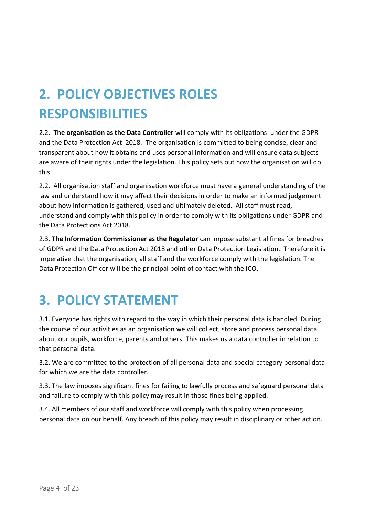# <span id="page-3-0"></span>**2. POLICY OBJECTIVES ROLES RESPONSIBILITIES**

2.2. **The organisation as the Data Controller** will comply with its obligations under the GDPR and the Data Protection Act 2018. The organisation is committed to being concise, clear and transparent about how it obtains and uses personal information and will ensure data subjects are aware of their rights under the legislation. This policy sets out how the organisation will do this.

2.2. All organisation staff and organisation workforce must have a general understanding of the law and understand how it may affect their decisions in order to make an informed judgement about how information is gathered, used and ultimately deleted. All staff must read, understand and comply with this policy in order to comply with its obligations under GDPR and the Data Protections Act 2018.

2.3. **The Information Commissioner as the Regulator** can impose substantial fines for breaches of GDPR and the Data Protection Act 2018 and other Data Protection Legislation. Therefore it is imperative that the organisation, all staff and the workforce comply with the legislation. The Data Protection Officer will be the principal point of contact with the ICO.

### <span id="page-3-1"></span>**3. POLICY STATEMENT**

3.1. Everyone has rights with regard to the way in which their personal data is handled. During the course of our activities as an organisation we will collect, store and process personal data about our pupils, workforce, parents and others. This makes us a data controller in relation to that personal data.

3.2. We are committed to the protection of all personal data and special category personal data for which we are the data controller.

3.3. The law imposes significant fines for failing to lawfully process and safeguard personal data and failure to comply with this policy may result in those fines being applied.

3.4. All members of our staff and workforce will comply with this policy when processing personal data on our behalf. Any breach of this policy may result in disciplinary or other action.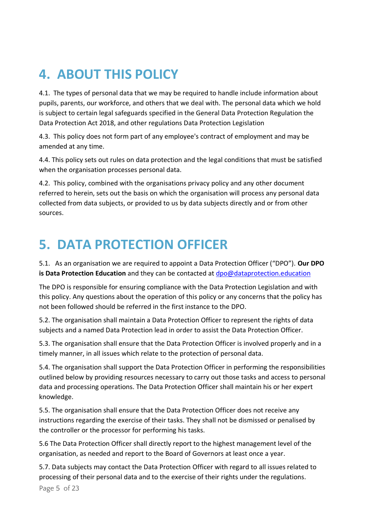### <span id="page-4-0"></span>**4. ABOUT THIS POLICY**

4.1. The types of personal data that we may be required to handle include information about pupils, parents, our workforce, and others that we deal with. The personal data which we hold is subject to certain legal safeguards specified in the General Data Protection Regulation the Data Protection Act 2018, and other regulations Data Protection Legislation

4.3. This policy does not form part of any employee's contract of employment and may be amended at any time.

4.4. This policy sets out rules on data protection and the legal conditions that must be satisfied when the organisation processes personal data.

4.2. This policy, combined with the organisations privacy policy and any other document referred to herein, sets out the basis on which the organisation will process any personal data collected from data subjects, or provided to us by data subjects directly and or from other sources.

#### <span id="page-4-1"></span>**5. DATA PROTECTION OFFICER**

5.1. As an organisation we are required to appoint a Data Protection Officer ("DPO"). **Our DPO is Data Protection Education** and they can be contacted at [dpo@dataprotection.education](mailto:dpo@dataprotection.education)

The DPO is responsible for ensuring compliance with the Data Protection Legislation and with this policy. Any questions about the operation of this policy or any concerns that the policy has not been followed should be referred in the first instance to the DPO.

5.2. The organisation shall maintain a Data Protection Officer to represent the rights of data subjects and a named Data Protection lead in order to assist the Data Protection Officer.

5.3. The organisation shall ensure that the Data Protection Officer is involved properly and in a timely manner, in all issues which relate to the protection of personal data.

5.4. The organisation shall support the Data Protection Officer in performing the responsibilities outlined below by providing resources necessary to carry out those tasks and access to personal data and processing operations. The Data Protection Officer shall maintain his or her expert knowledge.

5.5. The organisation shall ensure that the Data Protection Officer does not receive any instructions regarding the exercise of their tasks. They shall not be dismissed or penalised by the controller or the processor for performing his tasks.

5.6 The Data Protection Officer shall directly report to the highest management level of the organisation, as needed and report to the Board of Governors at least once a year.

5.7. Data subjects may contact the Data Protection Officer with regard to all issues related to processing of their personal data and to the exercise of their rights under the regulations.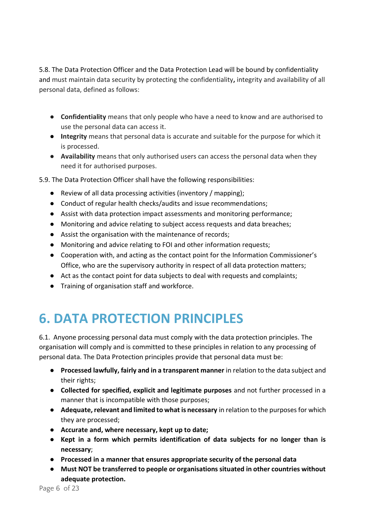5.8. The Data Protection Officer and the Data Protection Lead will be bound by confidentiality and must maintain data security by protecting the confidentiality**,** integrity and availability of all personal data, defined as follows:

- **Confidentiality** means that only people who have a need to know and are authorised to use the personal data can access it.
- **Integrity** means that personal data is accurate and suitable for the purpose for which it is processed.
- **Availability** means that only authorised users can access the personal data when they need it for authorised purposes.
- 5.9. The Data Protection Officer shall have the following responsibilities:
	- Review of all data processing activities (inventory / mapping);
	- Conduct of regular health checks/audits and issue recommendations;
	- Assist with data protection impact assessments and monitoring performance;
	- Monitoring and advice relating to subject access requests and data breaches;
	- Assist the organisation with the maintenance of records;
	- Monitoring and advice relating to FOI and other information requests;
	- Cooperation with, and acting as the contact point for the Information Commissioner's Office, who are the supervisory authority in respect of all data protection matters;
	- Act as the contact point for data subjects to deal with requests and complaints;
	- Training of organisation staff and workforce.

### <span id="page-5-0"></span>**6. DATA PROTECTION PRINCIPLES**

6.1. Anyone processing personal data must comply with the data protection principles. The organisation will comply and is committed to these principles in relation to any processing of personal data. The Data Protection principles provide that personal data must be:

- **Processed lawfully, fairly and in a transparent manner** in relation to the data subject and their rights;
- **Collected for specified, explicit and legitimate purposes** and not further processed in a manner that is incompatible with those purposes;
- **Adequate, relevant and limited to what is necessary** in relation to the purposes for which they are processed;
- **Accurate and, where necessary, kept up to date;**
- **Kept in a form which permits identification of data subjects for no longer than is necessary**;
- **Processed in a manner that ensures appropriate security of the personal data**
- **Must NOT be transferred to people or organisations situated in other countries without adequate protection.**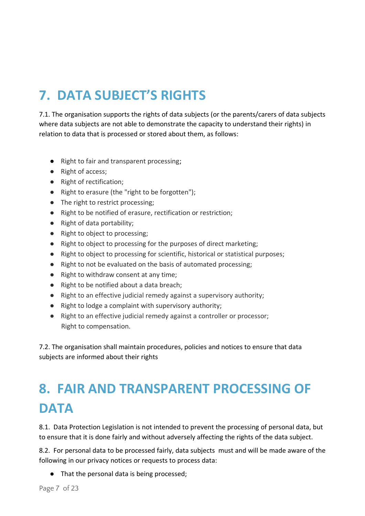## <span id="page-6-0"></span>**7. DATA SUBJECT'S RIGHTS**

7.1. The organisation supports the rights of data subjects (or the parents/carers of data subjects where data subjects are not able to demonstrate the capacity to understand their rights) in relation to data that is processed or stored about them, as follows:

- Right to fair and transparent processing;
- Right of access;
- Right of rectification;
- Right to erasure (the "right to be forgotten");
- The right to restrict processing;
- Right to be notified of erasure, rectification or restriction;
- Right of data portability;
- Right to object to processing;
- Right to object to processing for the purposes of direct marketing;
- Right to object to processing for scientific, historical or statistical purposes;
- Right to not be evaluated on the basis of automated processing;
- Right to withdraw consent at any time;
- Right to be notified about a data breach;
- Right to an effective judicial remedy against a supervisory authority;
- Right to lodge a complaint with supervisory authority;
- Right to an effective judicial remedy against a controller or processor; Right to compensation.

7.2. The organisation shall maintain procedures, policies and notices to ensure that data subjects are informed about their rights

# <span id="page-6-1"></span>**8. FAIR AND TRANSPARENT PROCESSING OF DATA**

8.1. Data Protection Legislation is not intended to prevent the processing of personal data, but to ensure that it is done fairly and without adversely affecting the rights of the data subject.

8.2. For personal data to be processed fairly, data subjects must and will be made aware of the following in our privacy notices or requests to process data:

● That the personal data is being processed;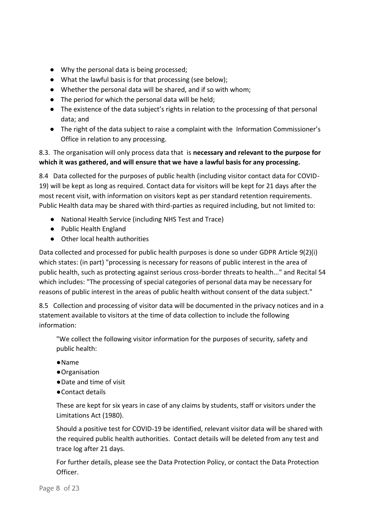- Why the personal data is being processed;
- What the lawful basis is for that processing (see below);
- Whether the personal data will be shared, and if so with whom;
- The period for which the personal data will be held;
- The existence of the data subject's rights in relation to the processing of that personal data; and
- The right of the data subject to raise a complaint with the Information Commissioner's Office in relation to any processing.

8.3. The organisation will only process data that is **necessary and relevant to the purpose for which it was gathered, and will ensure that we have a lawful basis for any processing.**

8.4 Data collected for the purposes of public health (including visitor contact data for COVID-19) will be kept as long as required. Contact data for visitors will be kept for 21 days after the most recent visit, with information on visitors kept as per standard retention requirements. Public Health data may be shared with third-parties as required including, but not limited to:

- National Health Service (including NHS Test and Trace)
- Public Health England
- Other local health authorities

Data collected and processed for public health purposes is done so under GDPR [Article 9\(2\)\(i\)](https://gdpr-info.eu/art-9-gdpr/) which states: (in part) "processing is necessary for reasons of [public interest](https://kb.dataprotection.education/component/seoglossary/1-data-protection-definitions/public-interest) in the area of public health, such as protecting against serious cross-border threats to health..." and [Recital 54](https://gdpr-info.eu/recitals/no-54/) which includes: "The processing of special categories of personal data may be necessary for reasons of public interest in the areas of public health without consent of the data subject."

8.5 Collection and processing of visitor data will be documented in the privacy notices and in a statement available to visitors at the time of data collection to include the following information:

"We collect the following visitor information for the purposes of security, safety and public health:

- ●Name
- ●Organisation
- ●Date and time of visit
- ●Contact details

These are kept for six years in case of any claims by students, staff or visitors under the Limitations Act (1980).

Should a positive test for COVID-19 be identified, relevant visitor data will be shared with the required public health authorities. Contact details will be deleted from any test and trace log after 21 days.

For further details, please see the Data Protection Policy, or contact the Data Protection Officer.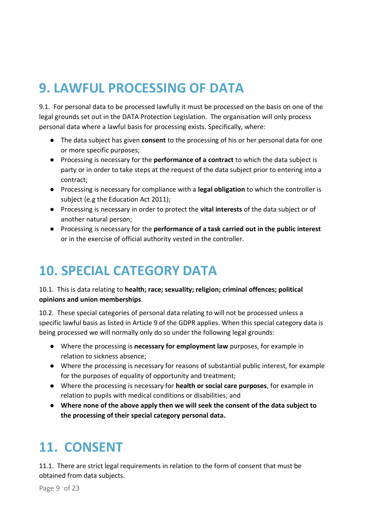### <span id="page-8-0"></span>**9. LAWFUL PROCESSING OF DATA**

9.1. For personal data to be processed lawfully it must be processed on the basis on one of the legal grounds set out in the DATA Protection Legislation. The organisation will only process personal data where a lawful basis for processing exists. Specifically, where:

- The data subject has given **consent** to the processing of his or her personal data for one or more specific purposes;
- Processing is necessary for the **performance of a contract** to which the data subject is party or in order to take steps at the request of the data subject prior to entering into a contract;
- Processing is necessary for compliance with a **legal obligation** to which the controller is subject (e.g the Education Act 2011);
- Processing is necessary in order to protect the **vital interests** of the data subject or of another natural person;
- Processing is necessary for the **performance of a task carried out in the public interest** or in the exercise of official authority vested in the controller.

#### <span id="page-8-1"></span>**10. SPECIAL CATEGORY DATA**

#### 10.1. This is data relating to **health; race; sexuality; religion; criminal offences; political opinions and union memberships**.

10.2. These special categories of personal data relating to will not be processed unless a specific lawful basis as listed in Article 9 of the GDPR applies. When this special category data is being processed we will normally only do so under the following legal grounds:

- Where the processing is **necessary for employment law** purposes, for example in relation to sickness absence;
- Where the processing is necessary for reasons of substantial public interest, for example for the purposes of equality of opportunity and treatment;
- Where the processing is necessary for **health or social care purposes**, for example in relation to pupils with medical conditions or disabilities; and
- **Where none of the above apply then we will seek the consent of the data subject to the processing of their special category personal data.**

#### <span id="page-8-2"></span>**11. CONSENT**

11.1. There are strict legal requirements in relation to the form of consent that must be obtained from data subjects.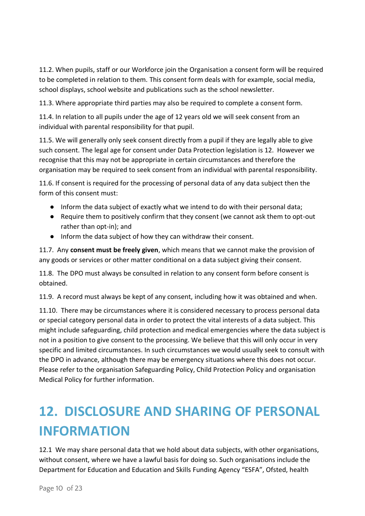11.2. When pupils, staff or our Workforce join the Organisation a consent form will be required to be completed in relation to them. This consent form deals with for example, social media, school displays, school website and publications such as the school newsletter.

11.3. Where appropriate third parties may also be required to complete a consent form.

11.4. In relation to all pupils under the age of 12 years old we will seek consent from an individual with parental responsibility for that pupil.

11.5. We will generally only seek consent directly from a pupil if they are legally able to give such consent. The legal age for consent under Data Protection legislation is 12. However we recognise that this may not be appropriate in certain circumstances and therefore the organisation may be required to seek consent from an individual with parental responsibility.

11.6. If consent is required for the processing of personal data of any data subject then the form of this consent must:

- Inform the data subject of exactly what we intend to do with their personal data;
- Require them to positively confirm that they consent (we cannot ask them to opt-out rather than opt-in); and
- Inform the data subject of how they can withdraw their consent.

11.7. Any **consent must be freely given**, which means that we cannot make the provision of any goods or services or other matter conditional on a data subject giving their consent.

11.8. The DPO must always be consulted in relation to any consent form before consent is obtained.

11.9. A record must always be kept of any consent, including how it was obtained and when.

11.10.There may be circumstances where it is considered necessary to process personal data or special category personal data in order to protect the vital interests of a data subject. This might include safeguarding, child protection and medical emergencies where the data subject is not in a position to give consent to the processing. We believe that this will only occur in very specific and limited circumstances. In such circumstances we would usually seek to consult with the DPO in advance, although there may be emergency situations where this does not occur. Please refer to the organisation Safeguarding Policy, Child Protection Policy and organisation Medical Policy for further information.

### <span id="page-9-0"></span>**12. DISCLOSURE AND SHARING OF PERSONAL INFORMATION**

12.1 We may share personal data that we hold about data subjects, with other organisations, without consent, where we have a lawful basis for doing so. Such organisations include the Department for Education and Education and Skills Funding Agency "ESFA", Ofsted, health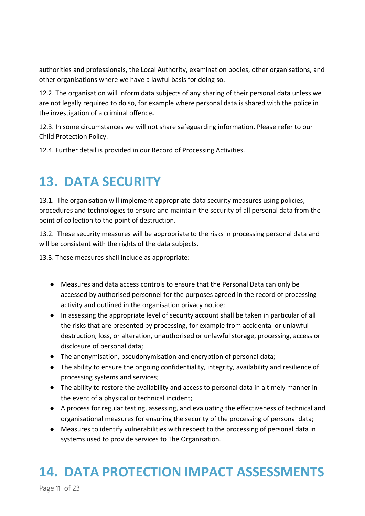authorities and professionals, the Local Authority, examination bodies, other organisations, and other organisations where we have a lawful basis for doing so.

12.2. The organisation will inform data subjects of any sharing of their personal data unless we are not legally required to do so, for example where personal data is shared with the police in the investigation of a criminal offence**.**

12.3. In some circumstances we will not share safeguarding information. Please refer to our Child Protection Policy.

12.4. Further detail is provided in our Record of Processing Activities.

#### <span id="page-10-0"></span>**13. DATA SECURITY**

13.1. The organisation will implement appropriate data security measures using policies, procedures and technologies to ensure and maintain the security of all personal data from the point of collection to the point of destruction.

13.2. These security measures will be appropriate to the risks in processing personal data and will be consistent with the rights of the data subjects.

13.3. These measures shall include as appropriate:

- Measures and data access controls to ensure that the Personal Data can only be accessed by authorised personnel for the purposes agreed in the record of processing activity and outlined in the organisation privacy notice;
- In assessing the appropriate level of security account shall be taken in particular of all the risks that are presented by processing, for example from accidental or unlawful destruction, loss, or alteration, unauthorised or unlawful storage, processing, access or disclosure of personal data;
- The anonymisation, pseudonymisation and encryption of personal data;
- The ability to ensure the ongoing confidentiality, integrity, availability and resilience of processing systems and services;
- The ability to restore the availability and access to personal data in a timely manner in the event of a physical or technical incident;
- A process for regular testing, assessing, and evaluating the effectiveness of technical and organisational measures for ensuring the security of the processing of personal data;
- Measures to identify vulnerabilities with respect to the processing of personal data in systems used to provide services to The Organisation.

### <span id="page-10-1"></span>**14. DATA PROTECTION IMPACT ASSESSMENTS**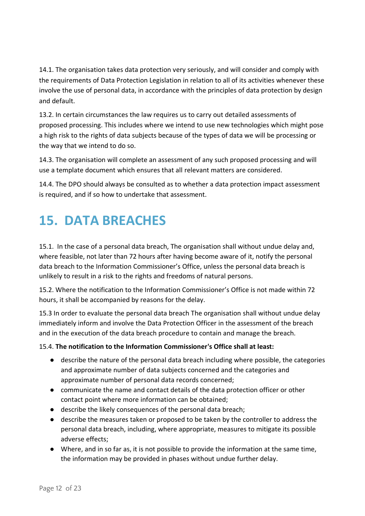14.1. The organisation takes data protection very seriously, and will consider and comply with the requirements of Data Protection Legislation in relation to all of its activities whenever these involve the use of personal data, in accordance with the principles of data protection by design and default.

13.2. In certain circumstances the law requires us to carry out detailed assessments of proposed processing. This includes where we intend to use new technologies which might pose a high risk to the rights of data subjects because of the types of data we will be processing or the way that we intend to do so.

14.3. The organisation will complete an assessment of any such proposed processing and will use a template document which ensures that all relevant matters are considered.

14.4. The DPO should always be consulted as to whether a data protection impact assessment is required, and if so how to undertake that assessment.

#### <span id="page-11-0"></span>**15. DATA BREACHES**

15.1. In the case of a personal data breach, The organisation shall without undue delay and, where feasible, not later than 72 hours after having become aware of it, notify the personal data breach to the Information Commissioner's Office, unless the personal data breach is unlikely to result in a risk to the rights and freedoms of natural persons.

15.2. Where the notification to the Information Commissioner's Office is not made within 72 hours, it shall be accompanied by reasons for the delay.

15.3 In order to evaluate the personal data breach The organisation shall without undue delay immediately inform and involve the Data Protection Officer in the assessment of the breach and in the execution of the data breach procedure to contain and manage the breach.

#### 15.4. **The notification to the Information Commissioner's Office shall at least:**

- describe the nature of the personal data breach including where possible, the categories and approximate number of data subjects concerned and the categories and approximate number of personal data records concerned;
- communicate the name and contact details of the data protection officer or other contact point where more information can be obtained;
- describe the likely consequences of the personal data breach;
- describe the measures taken or proposed to be taken by the controller to address the personal data breach, including, where appropriate, measures to mitigate its possible adverse effects;
- Where, and in so far as, it is not possible to provide the information at the same time, the information may be provided in phases without undue further delay.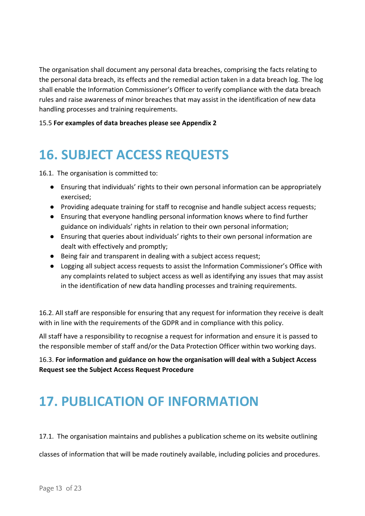The organisation shall document any personal data breaches, comprising the facts relating to the personal data breach, its effects and the remedial action taken in a data breach log. The log shall enable the Information Commissioner's Officer to verify compliance with the data breach rules and raise awareness of minor breaches that may assist in the identification of new data handling processes and training requirements.

#### 15.5 **For examples of data breaches please see Appendix 2**

#### <span id="page-12-0"></span>**16. SUBJECT ACCESS REQUESTS**

16.1. The organisation is committed to:

- Ensuring that individuals' rights to their own personal information can be appropriately exercised;
- Providing adequate training for staff to recognise and handle subject access requests;
- Ensuring that everyone handling personal information knows where to find further guidance on individuals' rights in relation to their own personal information;
- Ensuring that queries about individuals' rights to their own personal information are dealt with effectively and promptly;
- Being fair and transparent in dealing with a subject access request;
- Logging all subject access requests to assist the Information Commissioner's Office with any complaints related to subject access as well as identifying any issues that may assist in the identification of new data handling processes and training requirements.

16.2. All staff are responsible for ensuring that any request for information they receive is dealt with in line with the requirements of the GDPR and in compliance with this policy.

All staff have a responsibility to recognise a request for information and ensure it is passed to the responsible member of staff and/or the Data Protection Officer within two working days.

16.3. **For information and guidance on how the organisation will deal with a Subject Access Request see the Subject Access Request Procedure**

#### <span id="page-12-1"></span>**17. PUBLICATION OF INFORMATION**

17.1. The organisation maintains and publishes a publication scheme on its website outlining

classes of information that will be made routinely available, including policies and procedures.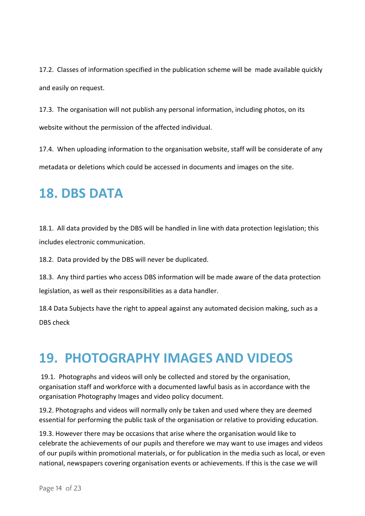17.2. Classes of information specified in the publication scheme will be made available quickly and easily on request.

17.3. The organisation will not publish any personal information, including photos, on its website without the permission of the affected individual.

17.4. When uploading information to the organisation website, staff will be considerate of any metadata or deletions which could be accessed in documents and images on the site.

#### <span id="page-13-0"></span>**18. DBS DATA**

18.1. All data provided by the DBS will be handled in line with data protection legislation; this includes electronic communication.

18.2. Data provided by the DBS will never be duplicated.

18.3. Any third parties who access DBS information will be made aware of the data protection legislation, as well as their responsibilities as a data handler.

18.4 Data Subjects have the right to appeal against any automated decision making, such as a DBS check

#### <span id="page-13-1"></span>**19. PHOTOGRAPHY IMAGES AND VIDEOS**

19.1. Photographs and videos will only be collected and stored by the organisation, organisation staff and workforce with a documented lawful basis as in accordance with the organisation Photography Images and video policy document.

19.2. Photographs and videos will normally only be taken and used where they are deemed essential for performing the public task of the organisation or relative to providing education.

19.3. However there may be occasions that arise where the organisation would like to celebrate the achievements of our pupils and therefore we may want to use images and videos of our pupils within promotional materials, or for publication in the media such as local, or even national, newspapers covering organisation events or achievements. If this is the case we will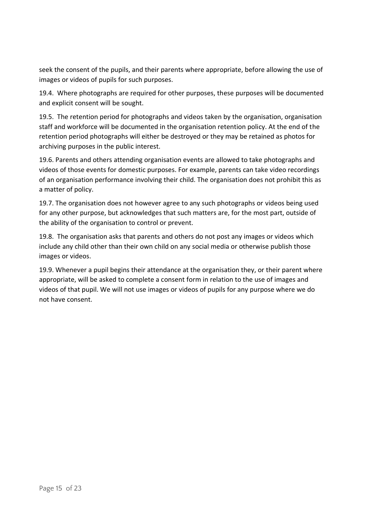seek the consent of the pupils, and their parents where appropriate, before allowing the use of images or videos of pupils for such purposes.

19.4. Where photographs are required for other purposes, these purposes will be documented and explicit consent will be sought.

19.5. The retention period for photographs and videos taken by the organisation, organisation staff and workforce will be documented in the organisation retention policy. At the end of the retention period photographs will either be destroyed or they may be retained as photos for archiving purposes in the public interest.

19.6. Parents and others attending organisation events are allowed to take photographs and videos of those events for domestic purposes. For example, parents can take video recordings of an organisation performance involving their child. The organisation does not prohibit this as a matter of policy.

19.7. The organisation does not however agree to any such photographs or videos being used for any other purpose, but acknowledges that such matters are, for the most part, outside of the ability of the organisation to control or prevent.

19.8. The organisation asks that parents and others do not post any images or videos which include any child other than their own child on any social media or otherwise publish those images or videos.

19.9. Whenever a pupil begins their attendance at the organisation they, or their parent where appropriate, will be asked to complete a consent form in relation to the use of images and videos of that pupil. We will not use images or videos of pupils for any purpose where we do not have consent.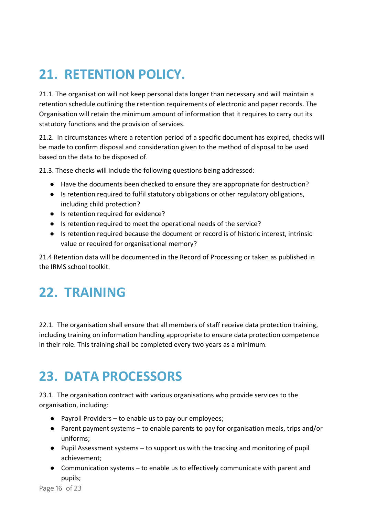### <span id="page-15-0"></span>**21. RETENTION POLICY.**

21.1. The organisation will not keep personal data longer than necessary and will maintain a retention schedule outlining the retention requirements of electronic and paper records. The Organisation will retain the minimum amount of information that it requires to carry out its statutory functions and the provision of services.

21.2. In circumstances where a retention period of a specific document has expired, checks will be made to confirm disposal and consideration given to the method of disposal to be used based on the data to be disposed of.

21.3. These checks will include the following questions being addressed:

- Have the documents been checked to ensure they are appropriate for destruction?
- Is retention required to fulfil statutory obligations or other regulatory obligations, including child protection?
- Is retention required for evidence?
- Is retention required to meet the operational needs of the service?
- Is retention required because the document or record is of historic interest, intrinsic value or required for organisational memory?

21.4 Retention data will be documented in the Record of Processing or taken as published in the IRMS school toolkit.

#### <span id="page-15-1"></span>**22. TRAINING**

22.1. The organisation shall ensure that all members of staff receive data protection training, including training on information handling appropriate to ensure data protection competence in their role. This training shall be completed every two years as a minimum.

#### <span id="page-15-2"></span>**23. DATA PROCESSORS**

23.1. The organisation contract with various organisations who provide services to the organisation, including:

- Payroll Providers to enable us to pay our employees;
- Parent payment systems to enable parents to pay for organisation meals, trips and/or uniforms;
- Pupil Assessment systems to support us with the tracking and monitoring of pupil achievement;
- Communication systems to enable us to effectively communicate with parent and pupils;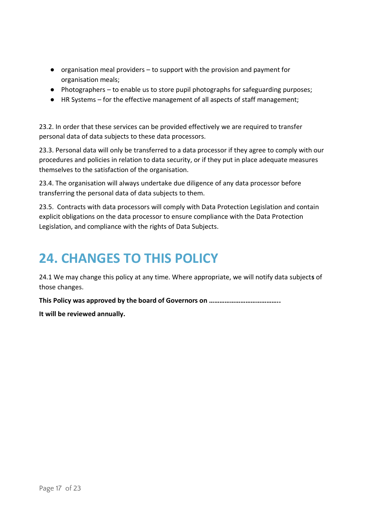- organisation meal providers to support with the provision and payment for organisation meals;
- Photographers to enable us to store pupil photographs for safeguarding purposes;
- HR Systems for the effective management of all aspects of staff management;

23.2. In order that these services can be provided effectively we are required to transfer personal data of data subjects to these data processors.

23.3. Personal data will only be transferred to a data processor if they agree to comply with our procedures and policies in relation to data security, or if they put in place adequate measures themselves to the satisfaction of the organisation.

23.4. The organisation will always undertake due diligence of any data processor before transferring the personal data of data subjects to them.

23.5. Contracts with data processors will comply with Data Protection Legislation and contain explicit obligations on the data processor to ensure compliance with the Data Protection Legislation, and compliance with the rights of Data Subjects.

#### <span id="page-16-0"></span>**24. CHANGES TO THIS POLICY**

24.1 We may change this policy at any time. Where appropriate, we will notify data subject**s** of those changes.

**This Policy was approved by the board of Governors on …………………………………..** 

**It will be reviewed annually.**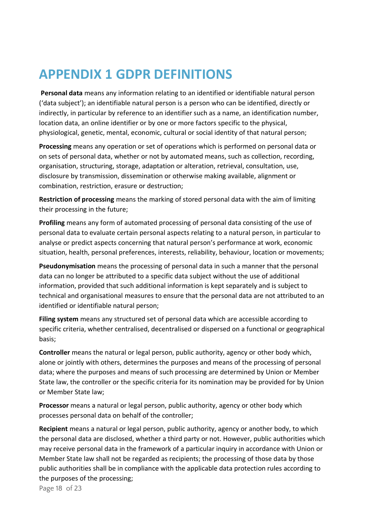#### <span id="page-17-0"></span>**APPENDIX 1 GDPR DEFINITIONS**

**Personal data** means any information relating to an identified or identifiable natural person ('data subject'); an identifiable natural person is a person who can be identified, directly or indirectly, in particular by reference to an identifier such as a name, an identification number, location data, an online identifier or by one or more factors specific to the physical, physiological, genetic, mental, economic, cultural or social identity of that natural person;

**Processing** means any operation or set of operations which is performed on personal data or on sets of personal data, whether or not by automated means, such as collection, recording, organisation, structuring, storage, adaptation or alteration, retrieval, consultation, use, disclosure by transmission, dissemination or otherwise making available, alignment or combination, restriction, erasure or destruction;

**Restriction of processing** means the marking of stored personal data with the aim of limiting their processing in the future;

**Profiling** means any form of automated processing of personal data consisting of the use of personal data to evaluate certain personal aspects relating to a natural person, in particular to analyse or predict aspects concerning that natural person's performance at work, economic situation, health, personal preferences, interests, reliability, behaviour, location or movements;

**Pseudonymisation** means the processing of personal data in such a manner that the personal data can no longer be attributed to a specific data subject without the use of additional information, provided that such additional information is kept separately and is subject to technical and organisational measures to ensure that the personal data are not attributed to an identified or identifiable natural person;

**Filing system** means any structured set of personal data which are accessible according to specific criteria, whether centralised, decentralised or dispersed on a functional or geographical basis;

**Controller** means the natural or legal person, public authority, agency or other body which, alone or jointly with others, determines the purposes and means of the processing of personal data; where the purposes and means of such processing are determined by Union or Member State law, the controller or the specific criteria for its nomination may be provided for by Union or Member State law;

**Processor** means a natural or legal person, public authority, agency or other body which processes personal data on behalf of the controller;

**Recipient** means a natural or legal person, public authority, agency or another body, to which the personal data are disclosed, whether a third party or not. However, public authorities which may receive personal data in the framework of a particular inquiry in accordance with Union or Member State law shall not be regarded as recipients; the processing of those data by those public authorities shall be in compliance with the applicable data protection rules according to the purposes of the processing;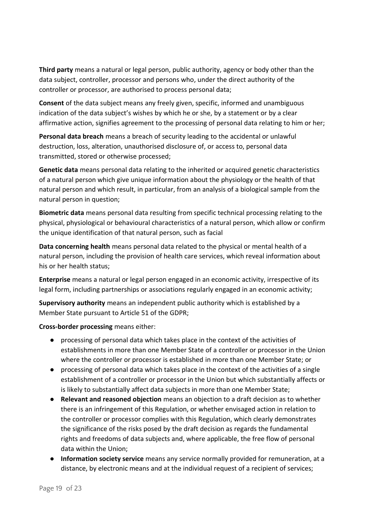**Third party** means a natural or legal person, public authority, agency or body other than the data subject, controller, processor and persons who, under the direct authority of the controller or processor, are authorised to process personal data;

**Consent** of the data subject means any freely given, specific, informed and unambiguous indication of the data subject's wishes by which he or she, by a statement or by a clear affirmative action, signifies agreement to the processing of personal data relating to him or her;

**Personal data breach** means a breach of security leading to the accidental or unlawful destruction, loss, alteration, unauthorised disclosure of, or access to, personal data transmitted, stored or otherwise processed;

**Genetic data** means personal data relating to the inherited or acquired genetic characteristics of a natural person which give unique information about the physiology or the health of that natural person and which result, in particular, from an analysis of a biological sample from the natural person in question;

**Biometric data** means personal data resulting from specific technical processing relating to the physical, physiological or behavioural characteristics of a natural person, which allow or confirm the unique identification of that natural person, such as facial

**Data concerning health** means personal data related to the physical or mental health of a natural person, including the provision of health care services, which reveal information about his or her health status;

**Enterprise** means a natural or legal person engaged in an economic activity, irrespective of its legal form, including partnerships or associations regularly engaged in an economic activity;

**Supervisory authority** means an independent public authority which is established by a Member State pursuant to Article 51 of the GDPR;

**Cross-border processing** means either:

- processing of personal data which takes place in the context of the activities of establishments in more than one Member State of a controller or processor in the Union where the controller or processor is established in more than one Member State; or
- processing of personal data which takes place in the context of the activities of a single establishment of a controller or processor in the Union but which substantially affects or is likely to substantially affect data subjects in more than one Member State;
- **Relevant and reasoned objection** means an objection to a draft decision as to whether there is an infringement of this Regulation, or whether envisaged action in relation to the controller or processor complies with this Regulation, which clearly demonstrates the significance of the risks posed by the draft decision as regards the fundamental rights and freedoms of data subjects and, where applicable, the free flow of personal data within the Union;
- **Information society service** means any service normally provided for remuneration, at a distance, by electronic means and at the individual request of a recipient of services;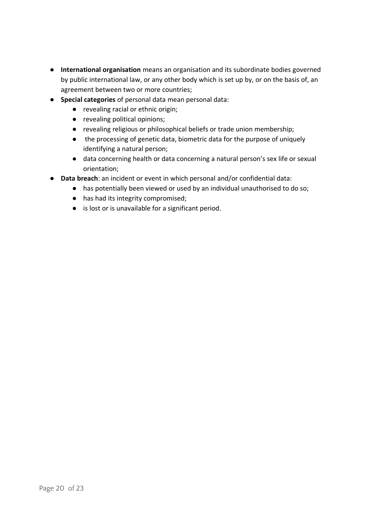- **International organisation** means an organisation and its subordinate bodies governed by public international law, or any other body which is set up by, or on the basis of, an agreement between two or more countries;
- **Special categories** of personal data mean personal data:
	- revealing racial or ethnic origin;
	- revealing political opinions;
	- revealing religious or philosophical beliefs or trade union membership;
	- the processing of genetic data, biometric data for the purpose of uniquely identifying a natural person;
	- data concerning health or data concerning a natural person's sex life or sexual orientation;
- **Data breach**: an incident or event in which personal and/or confidential data:
	- has potentially been viewed or used by an individual unauthorised to do so;
	- has had its integrity compromised;
	- is lost or is unavailable for a significant period.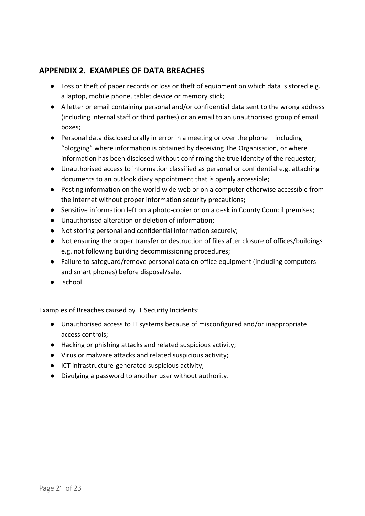#### **APPENDIX 2. EXAMPLES OF DATA BREACHES**

- Loss or theft of paper records or loss or theft of equipment on which data is stored e.g. a laptop, mobile phone, tablet device or memory stick;
- A letter or email containing personal and/or confidential data sent to the wrong address (including internal staff or third parties) or an email to an unauthorised group of email boxes;
- Personal data disclosed orally in error in a meeting or over the phone including "blogging" where information is obtained by deceiving The Organisation, or where information has been disclosed without confirming the true identity of the requester;
- Unauthorised access to information classified as personal or confidential e.g. attaching documents to an outlook diary appointment that is openly accessible;
- Posting information on the world wide web or on a computer otherwise accessible from the Internet without proper information security precautions;
- Sensitive information left on a photo-copier or on a desk in County Council premises;
- Unauthorised alteration or deletion of information;
- Not storing personal and confidential information securely;
- Not ensuring the proper transfer or destruction of files after closure of offices/buildings e.g. not following building decommissioning procedures;
- Failure to safeguard/remove personal data on office equipment (including computers and smart phones) before disposal/sale.
- school

Examples of Breaches caused by IT Security Incidents:

- Unauthorised access to IT systems because of misconfigured and/or inappropriate access controls;
- Hacking or phishing attacks and related suspicious activity;
- Virus or malware attacks and related suspicious activity;
- ICT infrastructure-generated suspicious activity;
- Divulging a password to another user without authority.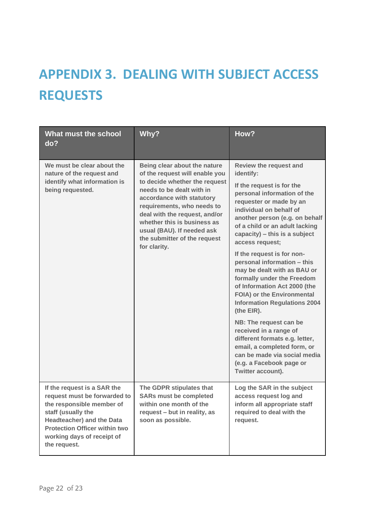# <span id="page-21-0"></span>**APPENDIX 3. DEALING WITH SUBJECT ACCESS REQUESTS**

| What must the school<br>do?                                                                                                                                                                                                              | Why?                                                                                                                                                                                                                                                                                                                                  | How?                                                                                                                                                                                                                                                                                                                                                                                                    |
|------------------------------------------------------------------------------------------------------------------------------------------------------------------------------------------------------------------------------------------|---------------------------------------------------------------------------------------------------------------------------------------------------------------------------------------------------------------------------------------------------------------------------------------------------------------------------------------|---------------------------------------------------------------------------------------------------------------------------------------------------------------------------------------------------------------------------------------------------------------------------------------------------------------------------------------------------------------------------------------------------------|
| We must be clear about the<br>nature of the request and<br>identify what information is<br>being requested.                                                                                                                              | Being clear about the nature<br>of the request will enable you<br>to decide whether the request<br>needs to be dealt with in<br>accordance with statutory<br>requirements, who needs to<br>deal with the request, and/or<br>whether this is business as<br>usual (BAU). If needed ask<br>the submitter of the request<br>for clarity. | Review the request and<br>identify:<br>If the request is for the<br>personal information of the<br>requester or made by an<br>individual on behalf of<br>another person (e.g. on behalf<br>of a child or an adult lacking<br>capacity) – this is a subject<br>access request;<br>If the request is for non-<br>personal information - this<br>may be dealt with as BAU or<br>formally under the Freedom |
|                                                                                                                                                                                                                                          |                                                                                                                                                                                                                                                                                                                                       | of Information Act 2000 (the<br>FOIA) or the Environmental<br><b>Information Regulations 2004</b><br>(the EIR).<br>NB: The request can be<br>received in a range of<br>different formats e.g. letter,<br>email, a completed form, or<br>can be made via social media<br>(e.g. a Facebook page or<br>Twitter account).                                                                                   |
| If the request is a SAR the<br>request must be forwarded to<br>the responsible member of<br>staff (usually the<br><b>Headteacher) and the Data</b><br><b>Protection Officer within two</b><br>working days of receipt of<br>the request. | The GDPR stipulates that<br><b>SARs must be completed</b><br>within one month of the<br>request – but in reality, as<br>soon as possible.                                                                                                                                                                                             | Log the SAR in the subject<br>access request log and<br>inform all appropriate staff<br>required to deal with the<br>request.                                                                                                                                                                                                                                                                           |